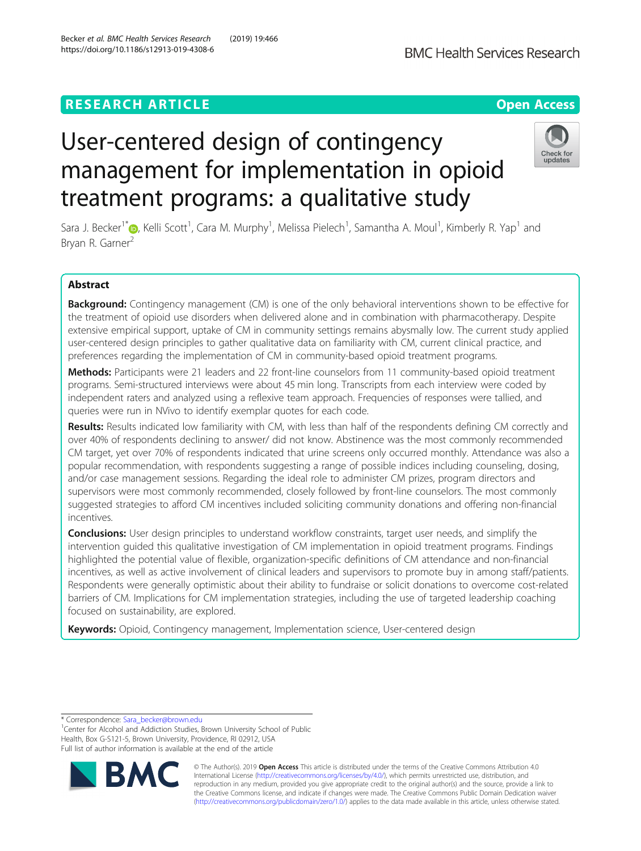## **RESEARCH ARTICLE Example 2018 12:30 The Contract of Contract Contract Open Access**

# User-centered design of contingency management for implementation in opioid treatment programs: a qualitative study

Sara J. Becker<sup>1\*</sup>®, Kelli Scott<sup>1</sup>, Cara M. Murphy<sup>1</sup>, Melissa Pielech<sup>1</sup>, Samantha A. Moul<sup>1</sup>, Kimberly R. Yap<sup>1</sup> and Bryan R. Garner<sup>2</sup>

## Abstract

Background: Contingency management (CM) is one of the only behavioral interventions shown to be effective for the treatment of opioid use disorders when delivered alone and in combination with pharmacotherapy. Despite extensive empirical support, uptake of CM in community settings remains abysmally low. The current study applied user-centered design principles to gather qualitative data on familiarity with CM, current clinical practice, and preferences regarding the implementation of CM in community-based opioid treatment programs.

Methods: Participants were 21 leaders and 22 front-line counselors from 11 community-based opioid treatment programs. Semi-structured interviews were about 45 min long. Transcripts from each interview were coded by independent raters and analyzed using a reflexive team approach. Frequencies of responses were tallied, and queries were run in NVivo to identify exemplar quotes for each code.

Results: Results indicated low familiarity with CM, with less than half of the respondents defining CM correctly and over 40% of respondents declining to answer/ did not know. Abstinence was the most commonly recommended CM target, yet over 70% of respondents indicated that urine screens only occurred monthly. Attendance was also a popular recommendation, with respondents suggesting a range of possible indices including counseling, dosing, and/or case management sessions. Regarding the ideal role to administer CM prizes, program directors and supervisors were most commonly recommended, closely followed by front-line counselors. The most commonly suggested strategies to afford CM incentives included soliciting community donations and offering non-financial incentives.

Conclusions: User design principles to understand workflow constraints, target user needs, and simplify the intervention guided this qualitative investigation of CM implementation in opioid treatment programs. Findings highlighted the potential value of flexible, organization-specific definitions of CM attendance and non-financial incentives, as well as active involvement of clinical leaders and supervisors to promote buy in among staff/patients. Respondents were generally optimistic about their ability to fundraise or solicit donations to overcome cost-related barriers of CM. Implications for CM implementation strategies, including the use of targeted leadership coaching focused on sustainability, are explored.

Keywords: Opioid, Contingency management, Implementation science, User-centered design

<sup>1</sup> Center for Alcohol and Addiction Studies, Brown University School of Public Health, Box G-S121-5, Brown University, Providence, RI 02912, USA Full list of author information is available at the end of the article

> © The Author(s). 2019 **Open Access** This article is distributed under the terms of the Creative Commons Attribution 4.0 International License [\(http://creativecommons.org/licenses/by/4.0/](http://creativecommons.org/licenses/by/4.0/)), which permits unrestricted use, distribution, and reproduction in any medium, provided you give appropriate credit to the original author(s) and the source, provide a link to the Creative Commons license, and indicate if changes were made. The Creative Commons Public Domain Dedication waiver [\(http://creativecommons.org/publicdomain/zero/1.0/](http://creativecommons.org/publicdomain/zero/1.0/)) applies to the data made available in this article, unless otherwise stated.

Becker et al. BMC Health Services Research (2019) 19:466 https://doi.org/10.1186/s12913-019-4308-6







Check for updates

<sup>\*</sup> Correspondence: [Sara\\_becker@brown.edu](mailto:Sara_becker@brown.edu) <sup>1</sup>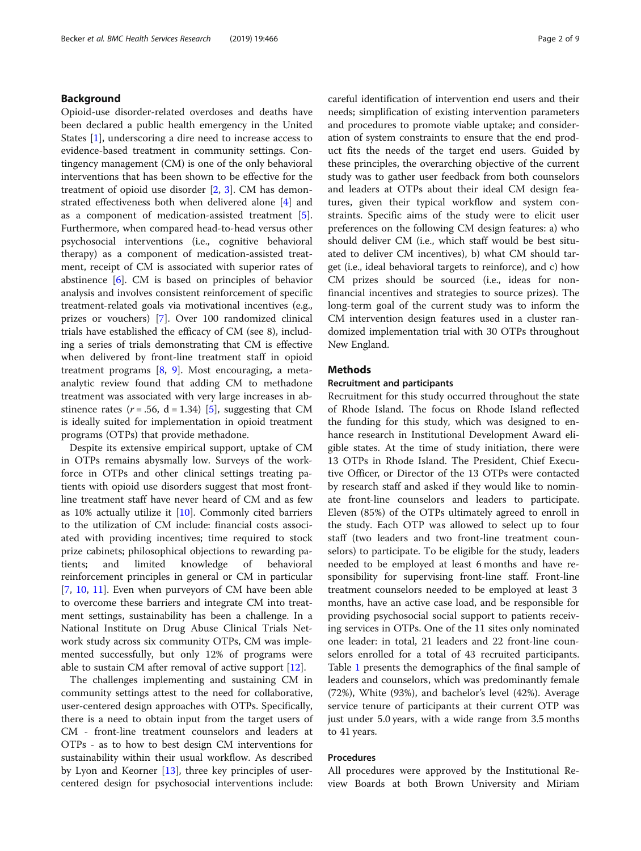## Background

Opioid-use disorder-related overdoses and deaths have been declared a public health emergency in the United States [[1\]](#page-8-0), underscoring a dire need to increase access to evidence-based treatment in community settings. Contingency management (CM) is one of the only behavioral interventions that has been shown to be effective for the treatment of opioid use disorder [\[2](#page-8-0), [3\]](#page-8-0). CM has demonstrated effectiveness both when delivered alone [\[4](#page-8-0)] and as a component of medication-assisted treatment [\[5](#page-8-0)]. Furthermore, when compared head-to-head versus other psychosocial interventions (i.e., cognitive behavioral therapy) as a component of medication-assisted treatment, receipt of CM is associated with superior rates of abstinence [[6\]](#page-8-0). CM is based on principles of behavior analysis and involves consistent reinforcement of specific treatment-related goals via motivational incentives (e.g., prizes or vouchers) [[7\]](#page-8-0). Over 100 randomized clinical trials have established the efficacy of CM (see 8), including a series of trials demonstrating that CM is effective when delivered by front-line treatment staff in opioid treatment programs [\[8,](#page-8-0) [9\]](#page-8-0). Most encouraging, a metaanalytic review found that adding CM to methadone treatment was associated with very large increases in abstinence rates  $(r = .56, d = 1.34)$  [\[5\]](#page-8-0), suggesting that CM is ideally suited for implementation in opioid treatment programs (OTPs) that provide methadone.

Despite its extensive empirical support, uptake of CM in OTPs remains abysmally low. Surveys of the workforce in OTPs and other clinical settings treating patients with opioid use disorders suggest that most frontline treatment staff have never heard of CM and as few as 10% actually utilize it [[10](#page-8-0)]. Commonly cited barriers to the utilization of CM include: financial costs associated with providing incentives; time required to stock prize cabinets; philosophical objections to rewarding patients; and limited knowledge of behavioral reinforcement principles in general or CM in particular [[7,](#page-8-0) [10](#page-8-0), [11](#page-8-0)]. Even when purveyors of CM have been able to overcome these barriers and integrate CM into treatment settings, sustainability has been a challenge. In a National Institute on Drug Abuse Clinical Trials Network study across six community OTPs, CM was implemented successfully, but only 12% of programs were able to sustain CM after removal of active support [\[12](#page-8-0)].

The challenges implementing and sustaining CM in community settings attest to the need for collaborative, user-centered design approaches with OTPs. Specifically, there is a need to obtain input from the target users of CM - front-line treatment counselors and leaders at OTPs - as to how to best design CM interventions for sustainability within their usual workflow. As described by Lyon and Keorner [\[13](#page-8-0)], three key principles of usercentered design for psychosocial interventions include: careful identification of intervention end users and their needs; simplification of existing intervention parameters and procedures to promote viable uptake; and consideration of system constraints to ensure that the end product fits the needs of the target end users. Guided by these principles, the overarching objective of the current study was to gather user feedback from both counselors and leaders at OTPs about their ideal CM design features, given their typical workflow and system constraints. Specific aims of the study were to elicit user preferences on the following CM design features: a) who should deliver CM (i.e., which staff would be best situated to deliver CM incentives), b) what CM should target (i.e., ideal behavioral targets to reinforce), and c) how CM prizes should be sourced (i.e., ideas for nonfinancial incentives and strategies to source prizes). The long-term goal of the current study was to inform the CM intervention design features used in a cluster randomized implementation trial with 30 OTPs throughout New England.

## **Methods**

#### Recruitment and participants

Recruitment for this study occurred throughout the state of Rhode Island. The focus on Rhode Island reflected the funding for this study, which was designed to enhance research in Institutional Development Award eligible states. At the time of study initiation, there were 13 OTPs in Rhode Island. The President, Chief Executive Officer, or Director of the 13 OTPs were contacted by research staff and asked if they would like to nominate front-line counselors and leaders to participate. Eleven (85%) of the OTPs ultimately agreed to enroll in the study. Each OTP was allowed to select up to four staff (two leaders and two front-line treatment counselors) to participate. To be eligible for the study, leaders needed to be employed at least 6 months and have responsibility for supervising front-line staff. Front-line treatment counselors needed to be employed at least 3 months, have an active case load, and be responsible for providing psychosocial social support to patients receiving services in OTPs. One of the 11 sites only nominated one leader: in total, 21 leaders and 22 front-line counselors enrolled for a total of 43 recruited participants. Table [1](#page-2-0) presents the demographics of the final sample of leaders and counselors, which was predominantly female (72%), White (93%), and bachelor's level (42%). Average service tenure of participants at their current OTP was just under 5.0 years, with a wide range from 3.5 months to 41 years.

#### Procedures

All procedures were approved by the Institutional Review Boards at both Brown University and Miriam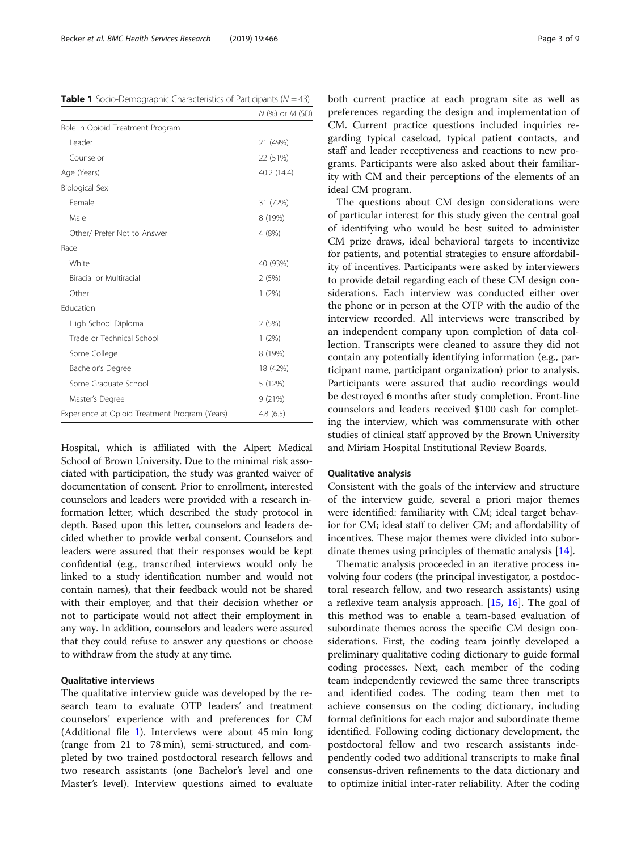<span id="page-2-0"></span>**Table 1** Socio-Demographic Characteristics of Participants ( $N = 43$ )

|                                                | N (%) or M (SD) |
|------------------------------------------------|-----------------|
| Role in Opioid Treatment Program               |                 |
| I eader                                        | 21 (49%)        |
| Counselor                                      | 22 (51%)        |
| Age (Years)                                    | 40.2 (14.4)     |
| <b>Biological Sex</b>                          |                 |
| Female                                         | 31 (72%)        |
| Male                                           | 8 (19%)         |
| Other/ Prefer Not to Answer                    | 4 (8%)          |
| Race                                           |                 |
| White                                          | 40 (93%)        |
| Biracial or Multiracial                        | 2(5%)           |
| Other                                          | 1(2%)           |
| Education                                      |                 |
| High School Diploma                            | 2(5%)           |
| Trade or Technical School                      | $1(2\%)$        |
| Some College                                   | 8 (19%)         |
| Bachelor's Degree                              | 18 (42%)        |
| Some Graduate School                           | 5 (12%)         |
| Master's Degree                                | 9(21%)          |
| Experience at Opioid Treatment Program (Years) | 4.8(6.5)        |

Hospital, which is affiliated with the Alpert Medical School of Brown University. Due to the minimal risk associated with participation, the study was granted waiver of documentation of consent. Prior to enrollment, interested counselors and leaders were provided with a research information letter, which described the study protocol in depth. Based upon this letter, counselors and leaders decided whether to provide verbal consent. Counselors and leaders were assured that their responses would be kept confidential (e.g., transcribed interviews would only be linked to a study identification number and would not contain names), that their feedback would not be shared with their employer, and that their decision whether or not to participate would not affect their employment in any way. In addition, counselors and leaders were assured that they could refuse to answer any questions or choose to withdraw from the study at any time.

#### Qualitative interviews

The qualitative interview guide was developed by the research team to evaluate OTP leaders' and treatment counselors' experience with and preferences for CM (Additional file [1](#page-7-0)). Interviews were about 45 min long (range from 21 to 78 min), semi-structured, and completed by two trained postdoctoral research fellows and two research assistants (one Bachelor's level and one Master's level). Interview questions aimed to evaluate

both current practice at each program site as well as preferences regarding the design and implementation of CM. Current practice questions included inquiries regarding typical caseload, typical patient contacts, and staff and leader receptiveness and reactions to new programs. Participants were also asked about their familiarity with CM and their perceptions of the elements of an ideal CM program.

The questions about CM design considerations were of particular interest for this study given the central goal of identifying who would be best suited to administer CM prize draws, ideal behavioral targets to incentivize for patients, and potential strategies to ensure affordability of incentives. Participants were asked by interviewers to provide detail regarding each of these CM design considerations. Each interview was conducted either over the phone or in person at the OTP with the audio of the interview recorded. All interviews were transcribed by an independent company upon completion of data collection. Transcripts were cleaned to assure they did not contain any potentially identifying information (e.g., participant name, participant organization) prior to analysis. Participants were assured that audio recordings would be destroyed 6 months after study completion. Front-line counselors and leaders received \$100 cash for completing the interview, which was commensurate with other studies of clinical staff approved by the Brown University and Miriam Hospital Institutional Review Boards.

#### Qualitative analysis

Consistent with the goals of the interview and structure of the interview guide, several a priori major themes were identified: familiarity with CM; ideal target behavior for CM; ideal staff to deliver CM; and affordability of incentives. These major themes were divided into subordinate themes using principles of thematic analysis [\[14](#page-8-0)].

Thematic analysis proceeded in an iterative process involving four coders (the principal investigator, a postdoctoral research fellow, and two research assistants) using a reflexive team analysis approach. [[15,](#page-8-0) [16](#page-8-0)]. The goal of this method was to enable a team-based evaluation of subordinate themes across the specific CM design considerations. First, the coding team jointly developed a preliminary qualitative coding dictionary to guide formal coding processes. Next, each member of the coding team independently reviewed the same three transcripts and identified codes. The coding team then met to achieve consensus on the coding dictionary, including formal definitions for each major and subordinate theme identified. Following coding dictionary development, the postdoctoral fellow and two research assistants independently coded two additional transcripts to make final consensus-driven refinements to the data dictionary and to optimize initial inter-rater reliability. After the coding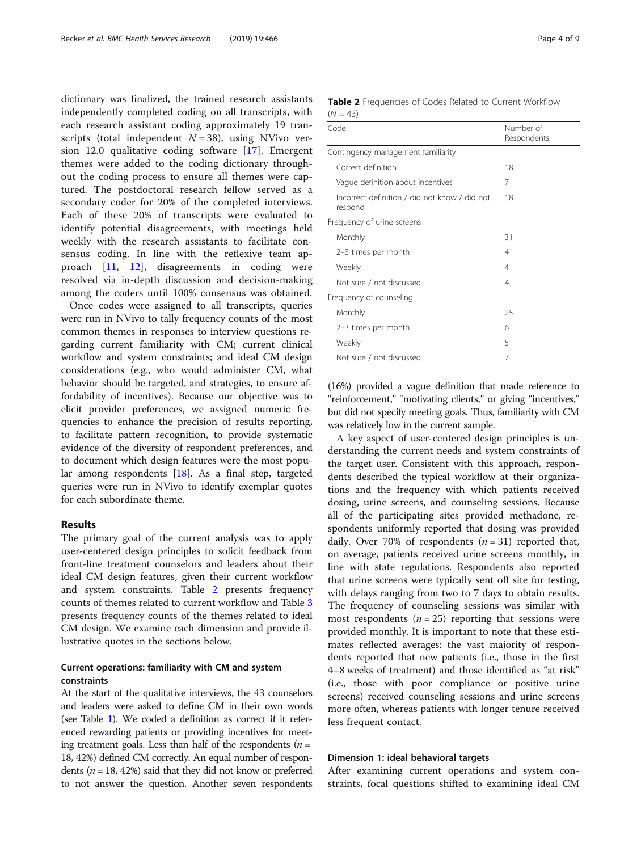<span id="page-3-0"></span>dictionary was finalized, the trained research assistants independently completed coding on all transcripts, with each research assistant coding approximately 19 transcripts (total independent  $N = 38$ ), using NVivo version 12.0 qualitative coding software [\[17](#page-8-0)]. Emergent themes were added to the coding dictionary throughout the coding process to ensure all themes were captured. The postdoctoral research fellow served as a secondary coder for 20% of the completed interviews. Each of these 20% of transcripts were evaluated to identify potential disagreements, with meetings held weekly with the research assistants to facilitate consensus coding. In line with the reflexive team approach [\[11](#page-8-0), [12\]](#page-8-0), disagreements in coding were resolved via in-depth discussion and decision-making among the coders until 100% consensus was obtained.

Once codes were assigned to all transcripts, queries were run in NVivo to tally frequency counts of the most common themes in responses to interview questions regarding current familiarity with CM; current clinical workflow and system constraints; and ideal CM design considerations (e.g., who would administer CM, what behavior should be targeted, and strategies, to ensure affordability of incentives). Because our objective was to elicit provider preferences, we assigned numeric frequencies to enhance the precision of results reporting, to facilitate pattern recognition, to provide systematic evidence of the diversity of respondent preferences, and to document which design features were the most popular among respondents [[18\]](#page-8-0). As a final step, targeted queries were run in NVivo to identify exemplar quotes for each subordinate theme.

#### Results

The primary goal of the current analysis was to apply user-centered design principles to solicit feedback from front-line treatment counselors and leaders about their ideal CM design features, given their current workflow and system constraints. Table 2 presents frequency counts of themes related to current workflow and Table [3](#page-4-0) presents frequency counts of the themes related to ideal CM design. We examine each dimension and provide illustrative quotes in the sections below.

## Current operations: familiarity with CM and system constraints

At the start of the qualitative interviews, the 43 counselors and leaders were asked to define CM in their own words (see Table [1\)](#page-2-0). We coded a definition as correct if it referenced rewarding patients or providing incentives for meeting treatment goals. Less than half of the respondents ( $n =$ 18, 42%) defined CM correctly. An equal number of respondents ( $n = 18$ , 42%) said that they did not know or preferred to not answer the question. Another seven respondents

|            | Table 2 Frequencies of Codes Related to Current Workflow |  |  |
|------------|----------------------------------------------------------|--|--|
| $(N = 43)$ |                                                          |  |  |

| Code                                                     | Number of<br>Respondents |  |  |  |
|----------------------------------------------------------|--------------------------|--|--|--|
| Contingency management familiarity                       |                          |  |  |  |
| Correct definition                                       | 18                       |  |  |  |
| Vague definition about incentives                        | 7                        |  |  |  |
| Incorrect definition / did not know / did not<br>respond | 18                       |  |  |  |
| Frequency of urine screens                               |                          |  |  |  |
| Monthly                                                  | 31                       |  |  |  |
| 2-3 times per month                                      | 4                        |  |  |  |
| Weekly                                                   | 4                        |  |  |  |
| Not sure / not discussed                                 | $\overline{4}$           |  |  |  |
| Frequency of counseling                                  |                          |  |  |  |
| Monthly                                                  | 25                       |  |  |  |
| 2-3 times per month                                      | 6                        |  |  |  |
| Weekly                                                   | 5                        |  |  |  |
| Not sure / not discussed                                 | 7                        |  |  |  |

(16%) provided a vague definition that made reference to "reinforcement," "motivating clients," or giving "incentives," but did not specify meeting goals. Thus, familiarity with CM was relatively low in the current sample.

A key aspect of user-centered design principles is understanding the current needs and system constraints of the target user. Consistent with this approach, respondents described the typical workflow at their organizations and the frequency with which patients received dosing, urine screens, and counseling sessions. Because all of the participating sites provided methadone, respondents uniformly reported that dosing was provided daily. Over 70% of respondents  $(n = 31)$  reported that, on average, patients received urine screens monthly, in line with state regulations. Respondents also reported that urine screens were typically sent off site for testing, with delays ranging from two to 7 days to obtain results. The frequency of counseling sessions was similar with most respondents ( $n = 25$ ) reporting that sessions were provided monthly. It is important to note that these estimates reflected averages: the vast majority of respondents reported that new patients (i.e., those in the first 4–8 weeks of treatment) and those identified as "at risk" (i.e., those with poor compliance or positive urine screens) received counseling sessions and urine screens more often, whereas patients with longer tenure received less frequent contact.

## Dimension 1: ideal behavioral targets

After examining current operations and system constraints, focal questions shifted to examining ideal CM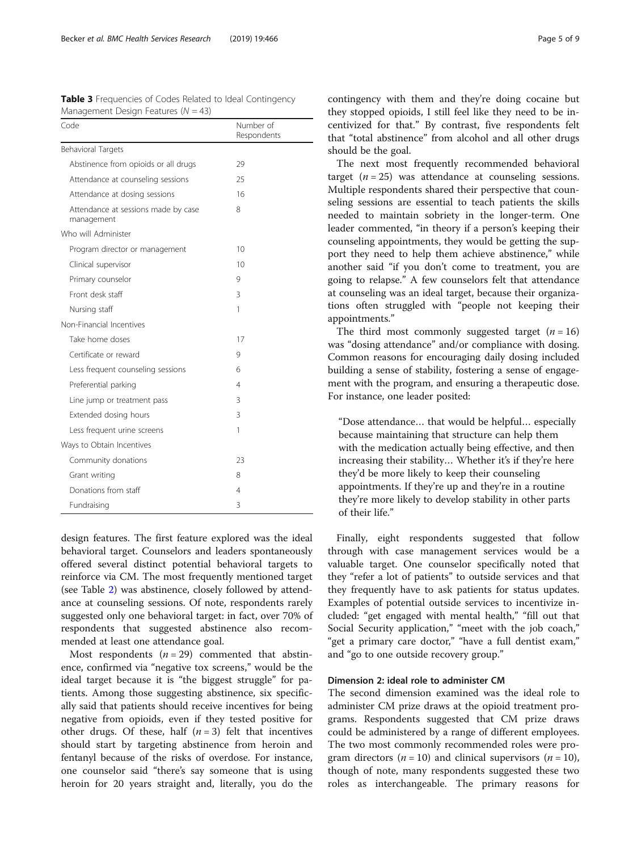design features. The first feature explored was the ideal behavioral target. Counselors and leaders spontaneously offered several distinct potential behavioral targets to reinforce via CM. The most frequently mentioned target (see Table [2\)](#page-3-0) was abstinence, closely followed by attendance at counseling sessions. Of note, respondents rarely suggested only one behavioral target: in fact, over 70% of respondents that suggested abstinence also recommended at least one attendance goal.

Most respondents  $(n = 29)$  commented that abstinence, confirmed via "negative tox screens," would be the ideal target because it is "the biggest struggle" for patients. Among those suggesting abstinence, six specifically said that patients should receive incentives for being negative from opioids, even if they tested positive for other drugs. Of these, half  $(n = 3)$  felt that incentives should start by targeting abstinence from heroin and fentanyl because of the risks of overdose. For instance, one counselor said "there's say someone that is using heroin for 20 years straight and, literally, you do the

contingency with them and they're doing cocaine but they stopped opioids, I still feel like they need to be incentivized for that." By contrast, five respondents felt that "total abstinence" from alcohol and all other drugs should be the goal.

The next most frequently recommended behavioral target ( $n = 25$ ) was attendance at counseling sessions. Multiple respondents shared their perspective that counseling sessions are essential to teach patients the skills needed to maintain sobriety in the longer-term. One leader commented, "in theory if a person's keeping their counseling appointments, they would be getting the support they need to help them achieve abstinence," while another said "if you don't come to treatment, you are going to relapse." A few counselors felt that attendance at counseling was an ideal target, because their organizations often struggled with "people not keeping their appointments."

The third most commonly suggested target  $(n = 16)$ was "dosing attendance" and/or compliance with dosing. Common reasons for encouraging daily dosing included building a sense of stability, fostering a sense of engagement with the program, and ensuring a therapeutic dose. For instance, one leader posited:

"Dose attendance… that would be helpful… especially because maintaining that structure can help them with the medication actually being effective, and then increasing their stability… Whether it's if they're here they'd be more likely to keep their counseling appointments. If they're up and they're in a routine they're more likely to develop stability in other parts of their life."

Finally, eight respondents suggested that follow through with case management services would be a valuable target. One counselor specifically noted that they "refer a lot of patients" to outside services and that they frequently have to ask patients for status updates. Examples of potential outside services to incentivize included: "get engaged with mental health," "fill out that Social Security application," "meet with the job coach," "get a primary care doctor," "have a full dentist exam," and "go to one outside recovery group."

## Dimension 2: ideal role to administer CM

The second dimension examined was the ideal role to administer CM prize draws at the opioid treatment programs. Respondents suggested that CM prize draws could be administered by a range of different employees. The two most commonly recommended roles were program directors ( $n = 10$ ) and clinical supervisors ( $n = 10$ ), though of note, many respondents suggested these two roles as interchangeable. The primary reasons for

<span id="page-4-0"></span>Table 3 Frequencies of Codes Related to Ideal Contingency Management Design Features ( $N = 43$ )

| Code                                              | Number of<br>Respondents |
|---------------------------------------------------|--------------------------|
| <b>Behavioral Targets</b>                         |                          |
| Abstinence from opioids or all drugs              | 29                       |
| Attendance at counseling sessions                 | 25                       |
| Attendance at dosing sessions                     | 16                       |
| Attendance at sessions made by case<br>management | 8                        |
| Who will Administer                               |                          |
| Program director or management                    | 10                       |
| Clinical supervisor                               | 10                       |
| Primary counselor                                 | 9                        |
| Front desk staff                                  | 3                        |
| Nursing staff                                     | 1                        |
| Non-Financial Incentives                          |                          |
| Take home doses                                   | 17                       |
| Certificate or reward                             | 9                        |
| Less frequent counseling sessions                 | 6                        |
| Preferential parking                              | 4                        |
| Line jump or treatment pass                       | 3                        |
| Extended dosing hours                             | 3                        |
| Less frequent urine screens                       | 1                        |
| Ways to Obtain Incentives                         |                          |
| Community donations                               | 23                       |
| Grant writing                                     | 8                        |
| Donations from staff                              | 4                        |
| Fundraising                                       | 3                        |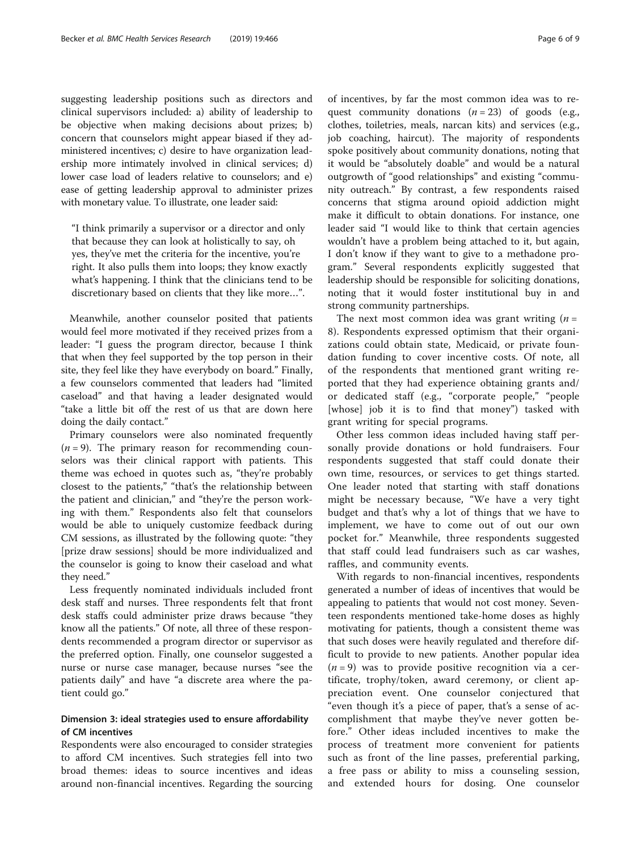suggesting leadership positions such as directors and clinical supervisors included: a) ability of leadership to be objective when making decisions about prizes; b) concern that counselors might appear biased if they administered incentives; c) desire to have organization leadership more intimately involved in clinical services; d) lower case load of leaders relative to counselors; and e) ease of getting leadership approval to administer prizes with monetary value. To illustrate, one leader said:

"I think primarily a supervisor or a director and only that because they can look at holistically to say, oh yes, they've met the criteria for the incentive, you're right. It also pulls them into loops; they know exactly what's happening. I think that the clinicians tend to be discretionary based on clients that they like more…".

Meanwhile, another counselor posited that patients would feel more motivated if they received prizes from a leader: "I guess the program director, because I think that when they feel supported by the top person in their site, they feel like they have everybody on board." Finally, a few counselors commented that leaders had "limited caseload" and that having a leader designated would "take a little bit off the rest of us that are down here doing the daily contact."

Primary counselors were also nominated frequently  $(n = 9)$ . The primary reason for recommending counselors was their clinical rapport with patients. This theme was echoed in quotes such as, "they're probably closest to the patients," "that's the relationship between the patient and clinician," and "they're the person working with them." Respondents also felt that counselors would be able to uniquely customize feedback during CM sessions, as illustrated by the following quote: "they [prize draw sessions] should be more individualized and the counselor is going to know their caseload and what they need."

Less frequently nominated individuals included front desk staff and nurses. Three respondents felt that front desk staffs could administer prize draws because "they know all the patients." Of note, all three of these respondents recommended a program director or supervisor as the preferred option. Finally, one counselor suggested a nurse or nurse case manager, because nurses "see the patients daily" and have "a discrete area where the patient could go."

## Dimension 3: ideal strategies used to ensure affordability of CM incentives

Respondents were also encouraged to consider strategies to afford CM incentives. Such strategies fell into two broad themes: ideas to source incentives and ideas around non-financial incentives. Regarding the sourcing of incentives, by far the most common idea was to request community donations  $(n = 23)$  of goods (e.g., clothes, toiletries, meals, narcan kits) and services (e.g., job coaching, haircut). The majority of respondents spoke positively about community donations, noting that it would be "absolutely doable" and would be a natural outgrowth of "good relationships" and existing "community outreach." By contrast, a few respondents raised concerns that stigma around opioid addiction might make it difficult to obtain donations. For instance, one leader said "I would like to think that certain agencies wouldn't have a problem being attached to it, but again, I don't know if they want to give to a methadone program." Several respondents explicitly suggested that leadership should be responsible for soliciting donations, noting that it would foster institutional buy in and strong community partnerships.

The next most common idea was grant writing  $(n =$ 8). Respondents expressed optimism that their organizations could obtain state, Medicaid, or private foundation funding to cover incentive costs. Of note, all of the respondents that mentioned grant writing reported that they had experience obtaining grants and/ or dedicated staff (e.g., "corporate people," "people [whose] job it is to find that money") tasked with grant writing for special programs.

Other less common ideas included having staff personally provide donations or hold fundraisers. Four respondents suggested that staff could donate their own time, resources, or services to get things started. One leader noted that starting with staff donations might be necessary because, "We have a very tight budget and that's why a lot of things that we have to implement, we have to come out of out our own pocket for." Meanwhile, three respondents suggested that staff could lead fundraisers such as car washes, raffles, and community events.

With regards to non-financial incentives, respondents generated a number of ideas of incentives that would be appealing to patients that would not cost money. Seventeen respondents mentioned take-home doses as highly motivating for patients, though a consistent theme was that such doses were heavily regulated and therefore difficult to provide to new patients. Another popular idea  $(n = 9)$  was to provide positive recognition via a certificate, trophy/token, award ceremony, or client appreciation event. One counselor conjectured that "even though it's a piece of paper, that's a sense of accomplishment that maybe they've never gotten before." Other ideas included incentives to make the process of treatment more convenient for patients such as front of the line passes, preferential parking, a free pass or ability to miss a counseling session, and extended hours for dosing. One counselor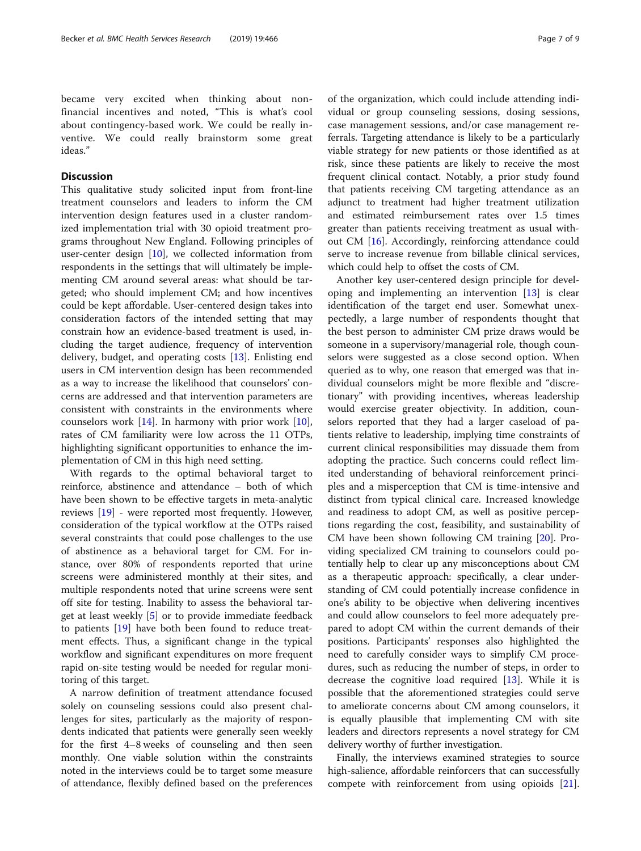became very excited when thinking about nonfinancial incentives and noted, "This is what's cool about contingency-based work. We could be really inventive. We could really brainstorm some great ideas."

## **Discussion**

This qualitative study solicited input from front-line treatment counselors and leaders to inform the CM intervention design features used in a cluster randomized implementation trial with 30 opioid treatment programs throughout New England. Following principles of user-center design [\[10\]](#page-8-0), we collected information from respondents in the settings that will ultimately be implementing CM around several areas: what should be targeted; who should implement CM; and how incentives could be kept affordable. User-centered design takes into consideration factors of the intended setting that may constrain how an evidence-based treatment is used, including the target audience, frequency of intervention delivery, budget, and operating costs [[13\]](#page-8-0). Enlisting end users in CM intervention design has been recommended as a way to increase the likelihood that counselors' concerns are addressed and that intervention parameters are consistent with constraints in the environments where counselors work [\[14](#page-8-0)]. In harmony with prior work [\[10](#page-8-0)], rates of CM familiarity were low across the 11 OTPs, highlighting significant opportunities to enhance the implementation of CM in this high need setting.

With regards to the optimal behavioral target to reinforce, abstinence and attendance – both of which have been shown to be effective targets in meta-analytic reviews [\[19\]](#page-8-0) - were reported most frequently. However, consideration of the typical workflow at the OTPs raised several constraints that could pose challenges to the use of abstinence as a behavioral target for CM. For instance, over 80% of respondents reported that urine screens were administered monthly at their sites, and multiple respondents noted that urine screens were sent off site for testing. Inability to assess the behavioral target at least weekly [\[5\]](#page-8-0) or to provide immediate feedback to patients [[19\]](#page-8-0) have both been found to reduce treatment effects. Thus, a significant change in the typical workflow and significant expenditures on more frequent rapid on-site testing would be needed for regular monitoring of this target.

A narrow definition of treatment attendance focused solely on counseling sessions could also present challenges for sites, particularly as the majority of respondents indicated that patients were generally seen weekly for the first 4–8 weeks of counseling and then seen monthly. One viable solution within the constraints noted in the interviews could be to target some measure of attendance, flexibly defined based on the preferences

of the organization, which could include attending individual or group counseling sessions, dosing sessions, case management sessions, and/or case management referrals. Targeting attendance is likely to be a particularly viable strategy for new patients or those identified as at risk, since these patients are likely to receive the most frequent clinical contact. Notably, a prior study found that patients receiving CM targeting attendance as an adjunct to treatment had higher treatment utilization and estimated reimbursement rates over 1.5 times greater than patients receiving treatment as usual without CM [[16\]](#page-8-0). Accordingly, reinforcing attendance could serve to increase revenue from billable clinical services, which could help to offset the costs of CM.

Another key user-centered design principle for developing and implementing an intervention [\[13](#page-8-0)] is clear identification of the target end user. Somewhat unexpectedly, a large number of respondents thought that the best person to administer CM prize draws would be someone in a supervisory/managerial role, though counselors were suggested as a close second option. When queried as to why, one reason that emerged was that individual counselors might be more flexible and "discretionary" with providing incentives, whereas leadership would exercise greater objectivity. In addition, counselors reported that they had a larger caseload of patients relative to leadership, implying time constraints of current clinical responsibilities may dissuade them from adopting the practice. Such concerns could reflect limited understanding of behavioral reinforcement principles and a misperception that CM is time-intensive and distinct from typical clinical care. Increased knowledge and readiness to adopt CM, as well as positive perceptions regarding the cost, feasibility, and sustainability of CM have been shown following CM training [[20](#page-8-0)]. Providing specialized CM training to counselors could potentially help to clear up any misconceptions about CM as a therapeutic approach: specifically, a clear understanding of CM could potentially increase confidence in one's ability to be objective when delivering incentives and could allow counselors to feel more adequately prepared to adopt CM within the current demands of their positions. Participants' responses also highlighted the need to carefully consider ways to simplify CM procedures, such as reducing the number of steps, in order to decrease the cognitive load required [[13\]](#page-8-0). While it is possible that the aforementioned strategies could serve to ameliorate concerns about CM among counselors, it is equally plausible that implementing CM with site leaders and directors represents a novel strategy for CM delivery worthy of further investigation.

Finally, the interviews examined strategies to source high-salience, affordable reinforcers that can successfully compete with reinforcement from using opioids [\[21](#page-8-0)].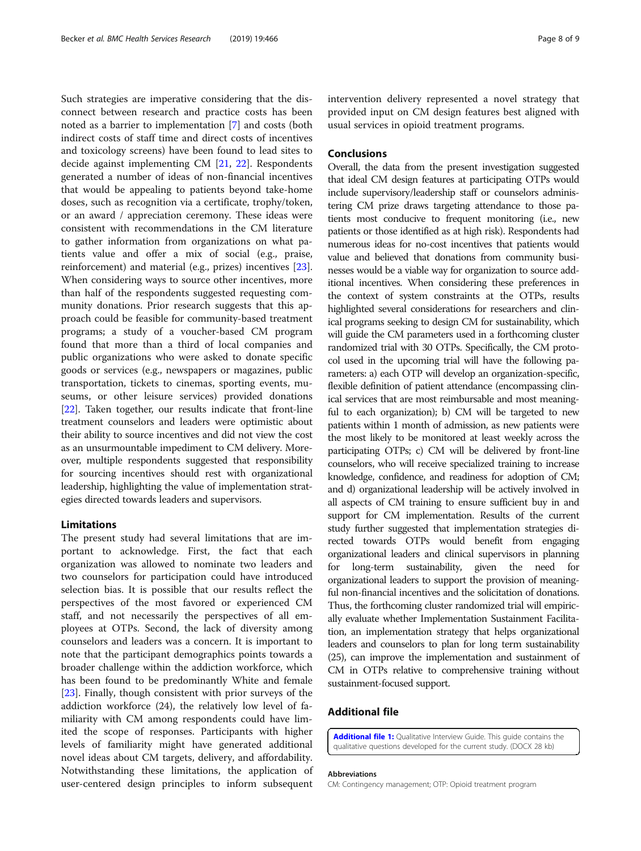<span id="page-7-0"></span>Such strategies are imperative considering that the disconnect between research and practice costs has been noted as a barrier to implementation [[7](#page-8-0)] and costs (both indirect costs of staff time and direct costs of incentives and toxicology screens) have been found to lead sites to decide against implementing CM [\[21](#page-8-0), [22](#page-8-0)]. Respondents generated a number of ideas of non-financial incentives that would be appealing to patients beyond take-home doses, such as recognition via a certificate, trophy/token, or an award / appreciation ceremony. These ideas were consistent with recommendations in the CM literature to gather information from organizations on what patients value and offer a mix of social (e.g., praise, reinforcement) and material (e.g., prizes) incentives [\[23](#page-8-0)]. When considering ways to source other incentives, more than half of the respondents suggested requesting community donations. Prior research suggests that this approach could be feasible for community-based treatment programs; a study of a voucher-based CM program found that more than a third of local companies and public organizations who were asked to donate specific goods or services (e.g., newspapers or magazines, public transportation, tickets to cinemas, sporting events, museums, or other leisure services) provided donations [[22](#page-8-0)]. Taken together, our results indicate that front-line treatment counselors and leaders were optimistic about their ability to source incentives and did not view the cost as an unsurmountable impediment to CM delivery. Moreover, multiple respondents suggested that responsibility for sourcing incentives should rest with organizational leadership, highlighting the value of implementation strategies directed towards leaders and supervisors.

## Limitations

The present study had several limitations that are important to acknowledge. First, the fact that each organization was allowed to nominate two leaders and two counselors for participation could have introduced selection bias. It is possible that our results reflect the perspectives of the most favored or experienced CM staff, and not necessarily the perspectives of all employees at OTPs. Second, the lack of diversity among counselors and leaders was a concern. It is important to note that the participant demographics points towards a broader challenge within the addiction workforce, which has been found to be predominantly White and female [[23\]](#page-8-0). Finally, though consistent with prior surveys of the addiction workforce (24), the relatively low level of familiarity with CM among respondents could have limited the scope of responses. Participants with higher levels of familiarity might have generated additional novel ideas about CM targets, delivery, and affordability. Notwithstanding these limitations, the application of user-centered design principles to inform subsequent

intervention delivery represented a novel strategy that provided input on CM design features best aligned with usual services in opioid treatment programs.

## Conclusions

Overall, the data from the present investigation suggested that ideal CM design features at participating OTPs would include supervisory/leadership staff or counselors administering CM prize draws targeting attendance to those patients most conducive to frequent monitoring (i.e., new patients or those identified as at high risk). Respondents had numerous ideas for no-cost incentives that patients would value and believed that donations from community businesses would be a viable way for organization to source additional incentives. When considering these preferences in the context of system constraints at the OTPs, results highlighted several considerations for researchers and clinical programs seeking to design CM for sustainability, which will guide the CM parameters used in a forthcoming cluster randomized trial with 30 OTPs. Specifically, the CM protocol used in the upcoming trial will have the following parameters: a) each OTP will develop an organization-specific, flexible definition of patient attendance (encompassing clinical services that are most reimbursable and most meaningful to each organization); b) CM will be targeted to new patients within 1 month of admission, as new patients were the most likely to be monitored at least weekly across the participating OTPs; c) CM will be delivered by front-line counselors, who will receive specialized training to increase knowledge, confidence, and readiness for adoption of CM; and d) organizational leadership will be actively involved in all aspects of CM training to ensure sufficient buy in and support for CM implementation. Results of the current study further suggested that implementation strategies directed towards OTPs would benefit from engaging organizational leaders and clinical supervisors in planning for long-term sustainability, given the need for organizational leaders to support the provision of meaningful non-financial incentives and the solicitation of donations. Thus, the forthcoming cluster randomized trial will empirically evaluate whether Implementation Sustainment Facilitation, an implementation strategy that helps organizational leaders and counselors to plan for long term sustainability (25), can improve the implementation and sustainment of CM in OTPs relative to comprehensive training without sustainment-focused support.

## Additional file

[Additional file 1:](https://doi.org/10.1186/s12913-019-4308-6) Qualitative Interview Guide. This quide contains the qualitative questions developed for the current study. (DOCX 28 kb)

#### Abbreviations

CM: Contingency management; OTP: Opioid treatment program